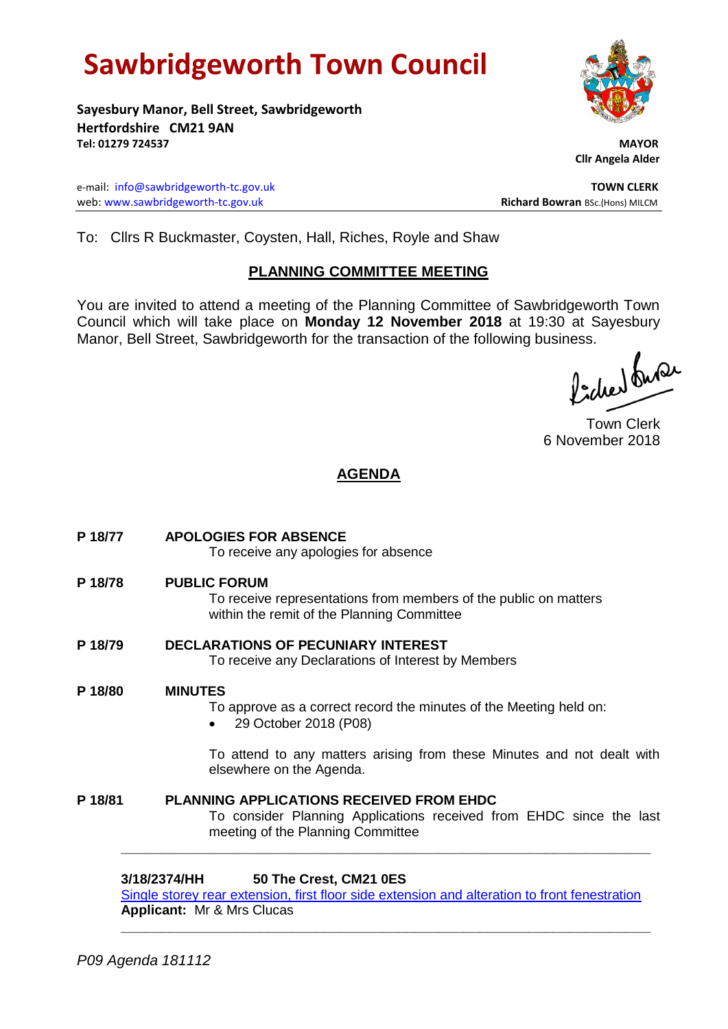# **Sawbridgeworth Town Council**

**Sayesbury Manor, Bell Street, Sawbridgeworth Hertfordshire CM21 9AN Tel: 01279 724537 MAYOR**

e-mail: [info@sawbridgeworth-tc.gov.uk](mailto:info@sawbridgeworth-tc.gov.uk) **TOWN CLERK** web: www.sawbridgeworth-tc.gov.uk **Richard Bowran** BSc.(Hons) MILCM

 **Cllr Angela Alder**

To: Cllrs R Buckmaster, Coysten, Hall, Riches, Royle and Shaw

# **PLANNING COMMITTEE MEETING**

You are invited to attend a meeting of the Planning Committee of Sawbridgeworth Town Council which will take place on **Monday 12 November 2018** at 19:30 at Sayesbury Manor, Bell Street, Sawbridgeworth for the transaction of the following business.

fided fuse

Town Clerk 6 November 2018

# **AGENDA**

| P 18/77 | <b>APOLOGIES FOR ABSENCE</b><br>To receive any apologies for absence                                                                                        |
|---------|-------------------------------------------------------------------------------------------------------------------------------------------------------------|
| P 18/78 | <b>PUBLIC FORUM</b><br>To receive representations from members of the public on matters<br>within the remit of the Planning Committee                       |
| P 18/79 | DECLARATIONS OF PECUNIARY INTEREST<br>To receive any Declarations of Interest by Members                                                                    |
| P 18/80 | <b>MINUTES</b><br>To approve as a correct record the minutes of the Meeting held on:<br>29 October 2018 (P08)                                               |
|         | To attend to any matters arising from these Minutes and not dealt with<br>elsewhere on the Agenda.                                                          |
| P 18/81 | <b>PLANNING APPLICATIONS RECEIVED FROM EHDC</b><br>To consider Planning Applications received from EHDC since the last<br>meeting of the Planning Committee |
|         | 3/18/2374/HH<br>50 The Crest, CM21 0ES<br>Single storey rear extension, first floor side extension and alteration to front fenestration                     |

st floor side extension and alteration to front fenestration **Applicant:** Mr & Mrs Clucas **\_\_\_\_\_\_\_\_\_\_\_\_\_\_\_\_\_\_\_\_\_\_\_\_\_\_\_\_\_\_\_\_\_\_\_\_\_\_\_\_\_\_\_\_\_\_\_\_\_\_\_\_\_\_\_\_\_\_\_\_\_\_\_\_\_**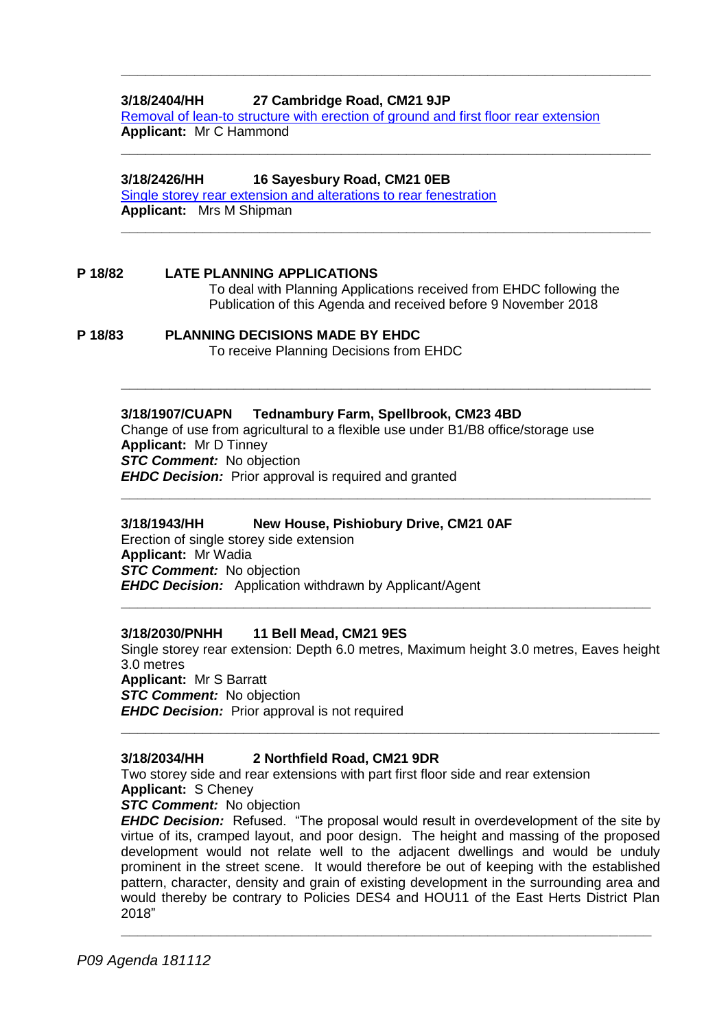## **3/18/2404/HH 27 Cambridge Road, CM21 9JP**

[Removal of lean-to structure with erection of ground and first floor rear extension](https://publicaccess.eastherts.gov.uk/online-applications/applicationDetails.do?activeTab=documents&keyVal=PHGE9NGLGMN00)  **Applicant:** Mr C Hammond

**\_\_\_\_\_\_\_\_\_\_\_\_\_\_\_\_\_\_\_\_\_\_\_\_\_\_\_\_\_\_\_\_\_\_\_\_\_\_\_\_\_\_\_\_\_\_\_\_\_\_\_\_\_\_\_\_\_\_\_\_\_\_\_\_\_**

**\_\_\_\_\_\_\_\_\_\_\_\_\_\_\_\_\_\_\_\_\_\_\_\_\_\_\_\_\_\_\_\_\_\_\_\_\_\_\_\_\_\_\_\_\_\_\_\_\_\_\_\_\_\_\_\_\_\_\_\_\_\_\_\_\_**

**\_\_\_\_\_\_\_\_\_\_\_\_\_\_\_\_\_\_\_\_\_\_\_\_\_\_\_\_\_\_\_\_\_\_\_\_\_\_\_\_\_\_\_\_\_\_\_\_\_\_\_\_\_\_\_\_\_\_\_\_\_\_\_\_\_**

**\_\_\_\_\_\_\_\_\_\_\_\_\_\_\_\_\_\_\_\_\_\_\_\_\_\_\_\_\_\_\_\_\_\_\_\_\_\_\_\_\_\_\_\_\_\_\_\_\_\_\_\_\_\_\_\_\_\_\_\_\_\_\_\_\_**

**\_\_\_\_\_\_\_\_\_\_\_\_\_\_\_\_\_\_\_\_\_\_\_\_\_\_\_\_\_\_\_\_\_\_\_\_\_\_\_\_\_\_\_\_\_\_\_\_\_\_\_\_\_\_\_\_\_\_\_\_\_\_\_\_\_**

#### **3/18/2426/HH 16 Sayesbury Road, CM21 0EB**

[Single storey rear extension and alterations to rear fenestration](https://publicaccess.eastherts.gov.uk/online-applications/applicationDetails.do?activeTab=documents&keyVal=PHKER1GLGNZ00)  **Applicant:** Mrs M Shipman

**P 18/82 LATE PLANNING APPLICATIONS** To deal with Planning Applications received from EHDC following the Publication of this Agenda and received before 9 November 2018

**P 18/83 PLANNING DECISIONS MADE BY EHDC** To receive Planning Decisions from EHDC

#### **3/18/1907/CUAPN Tednambury Farm, Spellbrook, CM23 4BD**

Change of use from agricultural to a flexible use under B1/B8 office/storage use **Applicant:** Mr D Tinney *STC Comment:* No objection *EHDC Decision:* Prior approval is required and granted

#### **3/18/1943/HH New House, Pishiobury Drive, CM21 0AF**

Erection of single storey side extension **Applicant:** Mr Wadia **STC Comment:** No objection *EHDC Decision:* Application withdrawn by Applicant/Agent

#### **3/18/2030/PNHH 11 Bell Mead, CM21 9ES**

Single storey rear extension: Depth 6.0 metres, Maximum height 3.0 metres, Eaves height 3.0 metres **Applicant:** Mr S Barratt **STC Comment:** No objection *EHDC Decision:* Prior approval is not required

**\_\_\_\_\_\_\_\_\_\_\_\_\_\_\_\_\_\_\_\_\_\_\_\_\_\_\_\_\_\_\_\_\_\_\_\_\_\_\_\_\_\_\_\_\_\_\_\_\_\_\_\_\_\_\_\_\_\_\_\_\_\_\_\_\_\_**

**\_\_\_\_\_\_\_\_\_\_\_\_\_\_\_\_\_\_\_\_\_\_\_\_\_\_\_\_\_\_\_\_\_\_\_\_\_\_\_\_\_\_\_\_\_\_\_\_\_\_\_\_\_\_\_\_\_\_\_\_\_\_\_\_\_**

### **3/18/2034/HH 2 Northfield Road, CM21 9DR**

Two storey side and rear extensions with part first floor side and rear extension **Applicant:** S Cheney

#### **STC Comment:** No objection

*EHDC Decision:* Refused. "The proposal would result in overdevelopment of the site by virtue of its, cramped layout, and poor design. The height and massing of the proposed development would not relate well to the adjacent dwellings and would be unduly prominent in the street scene. It would therefore be out of keeping with the established pattern, character, density and grain of existing development in the surrounding area and would thereby be contrary to Policies DES4 and HOU11 of the East Herts District Plan 2018"

**\_\_\_\_\_\_\_\_\_\_\_\_\_\_\_\_\_\_\_\_\_\_\_\_\_\_\_\_\_\_\_\_\_\_\_\_\_\_\_\_\_\_\_\_\_\_\_\_\_\_\_\_\_\_\_\_\_\_\_\_\_\_\_\_\_**